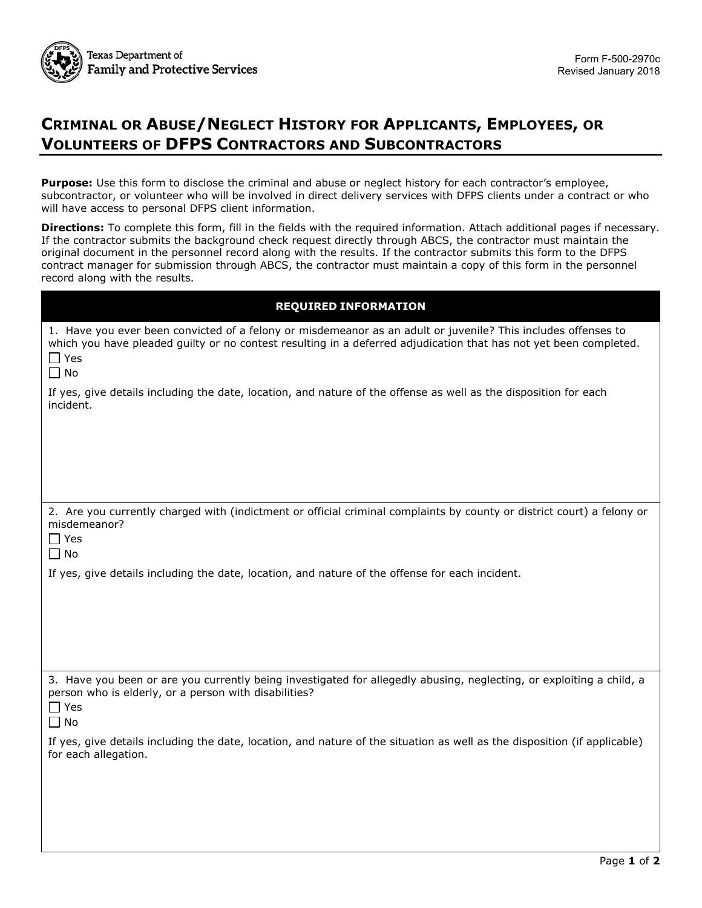

# **CRIMINAL OR ABUSE/NEGLECT HISTORY FOR APPLICANTS, EMPLOYEES, OR VOLUNTEERS OF DFPS CONTRACTORS AND SUBCONTRACTORS**

**Purpose:** Use this form to disclose the criminal and abuse or neglect history for each contractor's employee, subcontractor, or volunteer who will be involved in direct delivery services with DFPS clients under a contract or who will have access to personal DFPS client information.

**Directions:** To complete this form, fill in the fields with the required information. Attach additional pages if necessary. If the contractor submits the background check request directly through ABCS, the contractor must maintain the original document in the personnel record along with the results. If the contractor submits this form to the DFPS contract manager for submission through ABCS, the contractor must maintain a copy of this form in the personnel record along with the results.

| <b>REQUIRED INFORMATION</b>                                                                                                                                                                                                                                   |  |  |  |  |
|---------------------------------------------------------------------------------------------------------------------------------------------------------------------------------------------------------------------------------------------------------------|--|--|--|--|
| 1. Have you ever been convicted of a felony or misdemeanor as an adult or juvenile? This includes offenses to<br>which you have pleaded guilty or no contest resulting in a deferred adjudication that has not yet been completed.<br>$\Box$ Yes<br>$\Box$ No |  |  |  |  |
| If yes, give details including the date, location, and nature of the offense as well as the disposition for each<br>incident.                                                                                                                                 |  |  |  |  |
|                                                                                                                                                                                                                                                               |  |  |  |  |
| 2. Are you currently charged with (indictment or official criminal complaints by county or district court) a felony or<br>misdemeanor?<br>$\Box$ Yes<br>$\Box$ No                                                                                             |  |  |  |  |
| If yes, give details including the date, location, and nature of the offense for each incident.                                                                                                                                                               |  |  |  |  |
|                                                                                                                                                                                                                                                               |  |  |  |  |
| 3. Have you been or are you currently being investigated for allegedly abusing, neglecting, or exploiting a child, a<br>person who is elderly, or a person with disabilities?<br>l l Yes<br>$\Box$ No                                                         |  |  |  |  |
| If yes, give details including the date, location, and nature of the situation as well as the disposition (if applicable)<br>for each allegation.                                                                                                             |  |  |  |  |
|                                                                                                                                                                                                                                                               |  |  |  |  |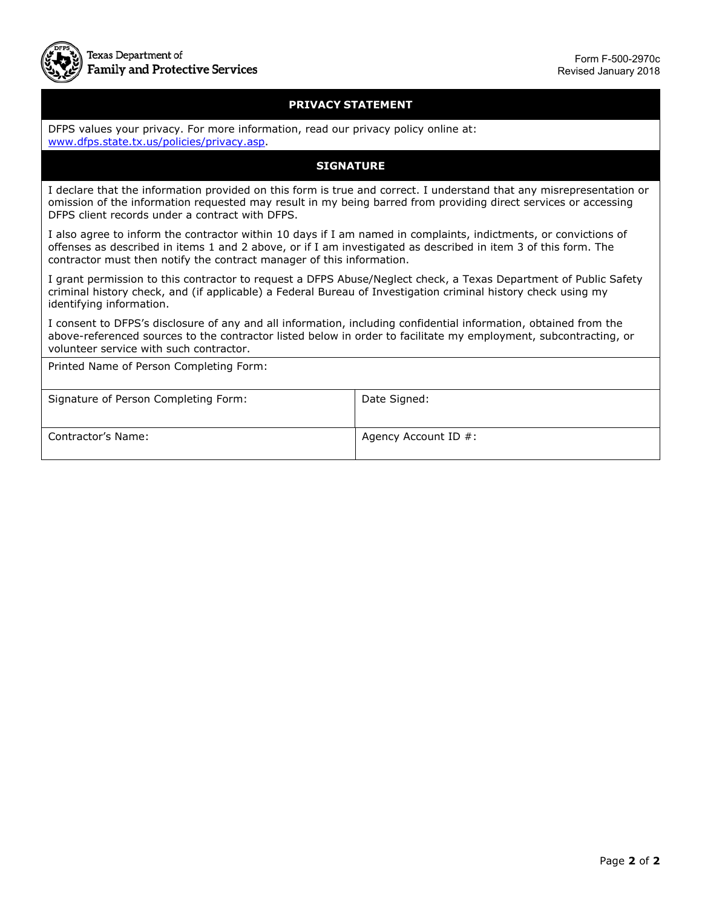

### **PRIVACY STATEMENT**

DFPS values your privacy. For more information, read our privacy policy online at: [www.dfps.state.tx.us/policies/privacy.asp.](http://www.dfps.state.tx.us/policies/privacy.asp)

### **SIGNATURE**

 omission of the information requested may result in my being barred from providing direct services or accessing I declare that the information provided on this form is true and correct. I understand that any misrepresentation or DFPS client records under a contract with DFPS.

I also agree to inform the contractor within 10 days if I am named in complaints, indictments, or convictions of offenses as described in items 1 and 2 above, or if I am investigated as described in item 3 of this form. The contractor must then notify the contract manager of this information.

identifying information. I grant permission to this contractor to request a DFPS Abuse/Neglect check, a Texas Department of Public Safety criminal history check, and (if applicable) a Federal Bureau of Investigation criminal history check using my

identifying information.<br>I consent to DFPS's disclosure of any and all information, including confidential information, obtained from the above-referenced sources to the contractor listed below in order to facilitate my employment, subcontracting, or volunteer service with such contractor.

Printed Name of Person Completing Form:

| Signature of Person Completing Form: | Date Signed:         |
|--------------------------------------|----------------------|
| <b>Contractor's Name:</b>            | Agency Account ID #: |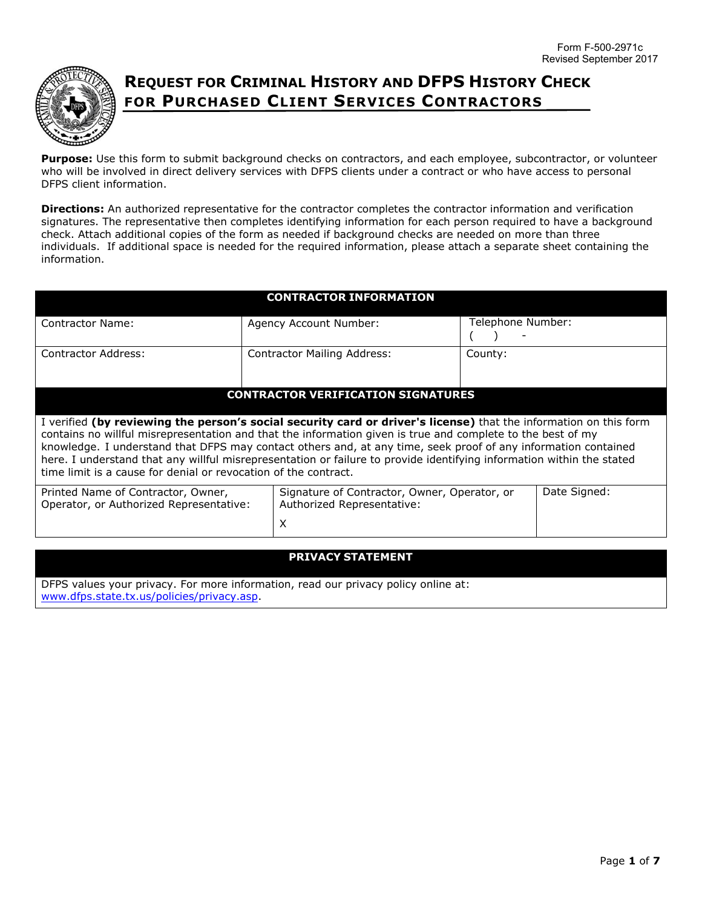

## **REQUEST FOR CRIMINAL HISTORY AND DFPS HISTORY CHECK FOR PURCHASED CLIENT SERVICES CONTRACTORS**

**Purpose:** Use this form to submit background checks on contractors, and each employee, subcontractor, or volunteer who will be involved in direct delivery services with DFPS clients under a contract or who have access to personal DFPS client information.

**Directions:** An authorized representative for the contractor completes the contractor information and verification signatures. The representative then completes identifying information for each person required to have a background check. Attach additional copies of the form as needed if background checks are needed on more than three individuals. If additional space is needed for the required information, please attach a separate sheet containing the information.

| <b>CONTRACTOR INFORMATION</b>                                                                                                                                                                                                                                                                                                                                                                                                                                                                                                                  |                                                                            |                   |              |  |  |  |
|------------------------------------------------------------------------------------------------------------------------------------------------------------------------------------------------------------------------------------------------------------------------------------------------------------------------------------------------------------------------------------------------------------------------------------------------------------------------------------------------------------------------------------------------|----------------------------------------------------------------------------|-------------------|--------------|--|--|--|
| <b>Contractor Name:</b>                                                                                                                                                                                                                                                                                                                                                                                                                                                                                                                        | Agency Account Number:                                                     | Telephone Number: |              |  |  |  |
| <b>Contractor Address:</b>                                                                                                                                                                                                                                                                                                                                                                                                                                                                                                                     | <b>Contractor Mailing Address:</b>                                         | County:           |              |  |  |  |
| <b>CONTRACTOR VERIFICATION SIGNATURES</b>                                                                                                                                                                                                                                                                                                                                                                                                                                                                                                      |                                                                            |                   |              |  |  |  |
| I verified (by reviewing the person's social security card or driver's license) that the information on this form<br>contains no willful misrepresentation and that the information given is true and complete to the best of my<br>knowledge. I understand that DFPS may contact others and, at any time, seek proof of any information contained<br>here. I understand that any willful misrepresentation or failure to provide identifying information within the stated<br>time limit is a cause for denial or revocation of the contract. |                                                                            |                   |              |  |  |  |
| Printed Name of Contractor, Owner,<br>Operator, or Authorized Representative:                                                                                                                                                                                                                                                                                                                                                                                                                                                                  | Signature of Contractor, Owner, Operator, or<br>Authorized Representative: |                   | Date Signed: |  |  |  |
|                                                                                                                                                                                                                                                                                                                                                                                                                                                                                                                                                | X                                                                          |                   |              |  |  |  |
| <b>PRIVACY STATEMENT</b>                                                                                                                                                                                                                                                                                                                                                                                                                                                                                                                       |                                                                            |                   |              |  |  |  |

DFPS values your privacy. For more information, read our privacy policy online at: www.dfps.state.tx.us/policies/privacy.asp.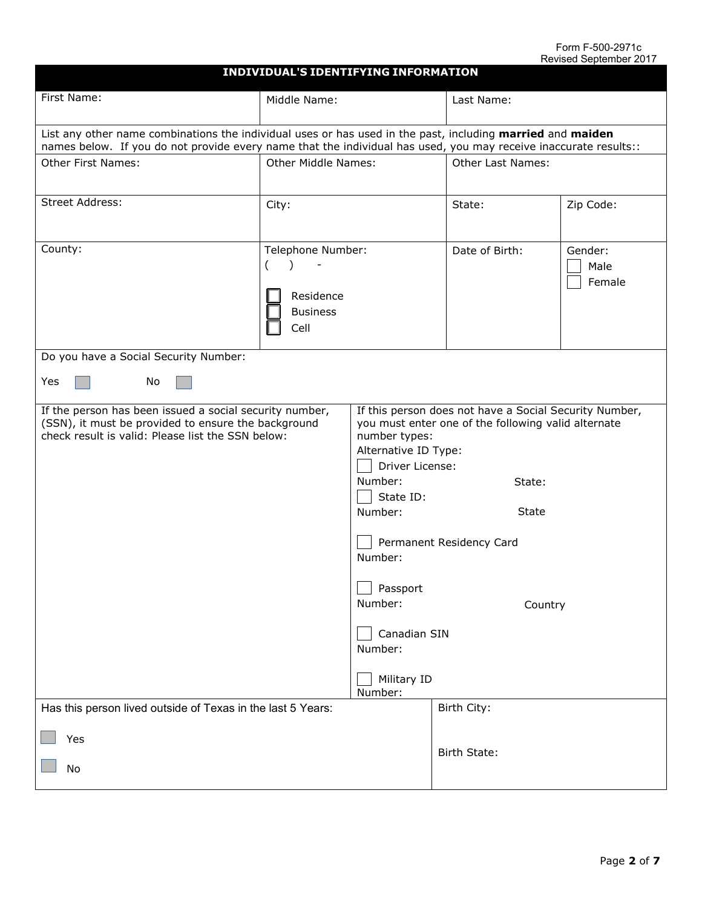#### Form F-500-2971c Revised September 2017

|                                                                                                                                                                                                                                | <b>INDIVIDUAL'S IDENTIFYING INFORMATION</b>               |                                                                                                                                                                                                                                                                        |                          |                           |  |
|--------------------------------------------------------------------------------------------------------------------------------------------------------------------------------------------------------------------------------|-----------------------------------------------------------|------------------------------------------------------------------------------------------------------------------------------------------------------------------------------------------------------------------------------------------------------------------------|--------------------------|---------------------------|--|
| First Name:                                                                                                                                                                                                                    | Middle Name:                                              |                                                                                                                                                                                                                                                                        | Last Name:               |                           |  |
| List any other name combinations the individual uses or has used in the past, including married and maiden<br>names below. If you do not provide every name that the individual has used, you may receive inaccurate results:: |                                                           |                                                                                                                                                                                                                                                                        |                          |                           |  |
| <b>Other First Names:</b>                                                                                                                                                                                                      | Other Middle Names:                                       |                                                                                                                                                                                                                                                                        | <b>Other Last Names:</b> |                           |  |
| Street Address:                                                                                                                                                                                                                | City:                                                     |                                                                                                                                                                                                                                                                        | State:                   | Zip Code:                 |  |
| County:                                                                                                                                                                                                                        | Telephone Number:<br>Residence<br><b>Business</b><br>Cell |                                                                                                                                                                                                                                                                        | Date of Birth:           | Gender:<br>Male<br>Female |  |
| Do you have a Social Security Number:                                                                                                                                                                                          |                                                           |                                                                                                                                                                                                                                                                        |                          |                           |  |
| Yes<br><b>No</b>                                                                                                                                                                                                               |                                                           |                                                                                                                                                                                                                                                                        |                          |                           |  |
| If the person has been issued a social security number,<br>(SSN), it must be provided to ensure the background<br>check result is valid: Please list the SSN below:                                                            |                                                           | If this person does not have a Social Security Number,<br>you must enter one of the following valid alternate<br>number types:<br>Alternative ID Type:<br>Driver License:<br>Number:<br>State:<br>State ID:<br>State<br>Number:<br>Permanent Residency Card<br>Number: |                          |                           |  |
|                                                                                                                                                                                                                                |                                                           | Passport<br>Number:                                                                                                                                                                                                                                                    | Country                  |                           |  |
|                                                                                                                                                                                                                                |                                                           | Canadian SIN<br>Number:                                                                                                                                                                                                                                                |                          |                           |  |
|                                                                                                                                                                                                                                |                                                           | Military ID<br>Number:                                                                                                                                                                                                                                                 |                          |                           |  |
| Has this person lived outside of Texas in the last 5 Years:                                                                                                                                                                    |                                                           |                                                                                                                                                                                                                                                                        | Birth City:              |                           |  |
| Yes<br>No                                                                                                                                                                                                                      |                                                           |                                                                                                                                                                                                                                                                        | Birth State:             |                           |  |
|                                                                                                                                                                                                                                |                                                           |                                                                                                                                                                                                                                                                        |                          |                           |  |